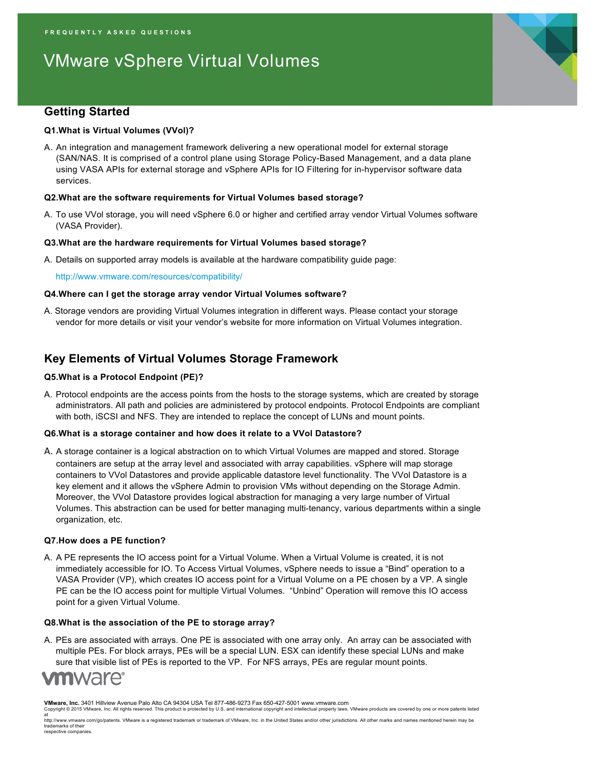# VMware vSphere Virtual Volumes

## **Getting Started**

#### **Q1.What is Virtual Volumes (VVol)?**

A. An integration and management framework delivering a new operational model for external storage (SAN/NAS. It is comprised of a control plane using Storage Policy-Based Management, and a data plane using VASA APIs for external storage and vSphere APIs for IO Filtering for in-hypervisor software data services.

#### **Q2.What are the software requirements for Virtual Volumes based storage?**

A. To use VVol storage, you will need vSphere 6.0 or higher and certified array vendor Virtual Volumes software (VASA Provider).

#### **Q3.What are the hardware requirements for Virtual Volumes based storage?**

A. Details on supported array models is available at the hardware compatibility guide page:

http://www.vmware.com/resources/compatibility/

#### **Q4.Where can I get the storage array vendor Virtual Volumes software?**

A. Storage vendors are providing Virtual Volumes integration in different ways. Please contact your storage vendor for more details or visit your vendor's website for more information on Virtual Volumes integration.

### **Key Elements of Virtual Volumes Storage Framework**

#### **Q5.What is a Protocol Endpoint (PE)?**

A. Protocol endpoints are the access points from the hosts to the storage systems, which are created by storage administrators. All path and policies are administered by protocol endpoints. Protocol Endpoints are compliant with both, iSCSI and NFS. They are intended to replace the concept of LUNs and mount points.

#### **Q6.What is a storage container and how does it relate to a VVol Datastore?**

A. A storage container is a logical abstraction on to which Virtual Volumes are mapped and stored. Storage containers are setup at the array level and associated with array capabilities. vSphere will map storage containers to VVol Datastores and provide applicable datastore level functionality. The VVol Datastore is a key element and it allows the vSphere Admin to provision VMs without depending on the Storage Admin. Moreover, the VVol Datastore provides logical abstraction for managing a very large number of Virtual Volumes. This abstraction can be used for better managing multi-tenancy, various departments within a single organization, etc.

#### **Q7.How does a PE function?**

A. A PE represents the IO access point for a Virtual Volume. When a Virtual Volume is created, it is not immediately accessible for IO. To Access Virtual Volumes, vSphere needs to issue a "Bind" operation to a VASA Provider (VP), which creates IO access point for a Virtual Volume on a PE chosen by a VP. A single PE can be the IO access point for multiple Virtual Volumes. "Unbind" Operation will remove this IO access point for a given Virtual Volume.

#### **Q8.What is the association of the PE to storage array?**

A. PEs are associated with arrays. One PE is associated with one array only. An array can be associated with multiple PEs. For block arrays, PEs will be a special LUN. ESX can identify these special LUNs and make sure that visible list of PEs is reported to the VP. For NFS arrays, PEs are regular mount points.

## **m**ware<sup>.</sup>

**VMware, Inc.** 3401 Hillview Avenue Palo Alto CA 94304 USA Tel 877-486-9273 Fax 650-427-5001 www.vmware.com Copyright © 2015 VMware, Inc. All rights reserved. This product is protected by U.S. and international copyright and intellectual property laws. VMware products are covered by one or more patents listed

at<br>http://www.vmware.com/go/patents. VMware is a registered trademark or trademark of VMware, Inc. in the United States and/or other jurisdictions. All other marks and names mentioned herein may be trademarks of their respective companies.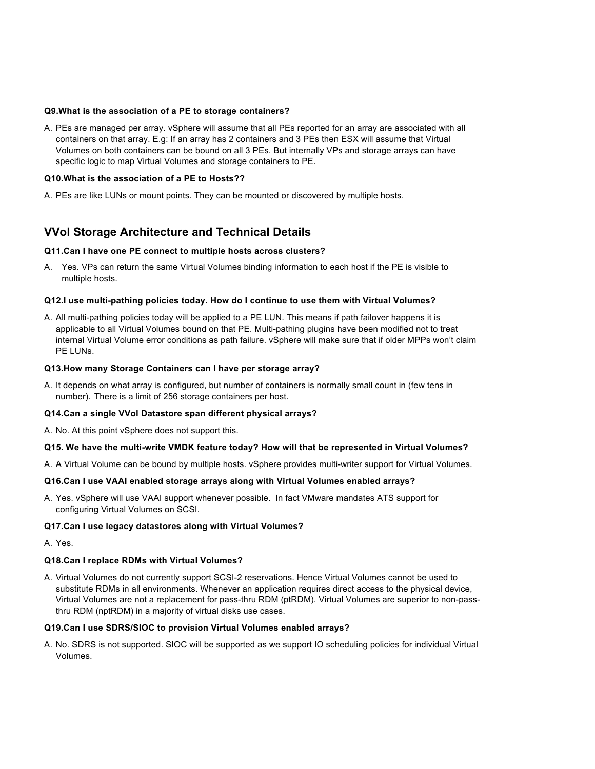#### **Q9.What is the association of a PE to storage containers?**

A. PEs are managed per array. vSphere will assume that all PEs reported for an array are associated with all containers on that array. E.g: If an array has 2 containers and 3 PEs then ESX will assume that Virtual Volumes on both containers can be bound on all 3 PEs. But internally VPs and storage arrays can have specific logic to map Virtual Volumes and storage containers to PE.

#### **Q10.What is the association of a PE to Hosts??**

A. PEs are like LUNs or mount points. They can be mounted or discovered by multiple hosts.

## **VVol Storage Architecture and Technical Details**

#### **Q11.Can I have one PE connect to multiple hosts across clusters?**

A. Yes. VPs can return the same Virtual Volumes binding information to each host if the PE is visible to multiple hosts.

#### **Q12.I use multi-pathing policies today. How do I continue to use them with Virtual Volumes?**

A. All multi-pathing policies today will be applied to a PE LUN. This means if path failover happens it is applicable to all Virtual Volumes bound on that PE. Multi-pathing plugins have been modified not to treat internal Virtual Volume error conditions as path failure. vSphere will make sure that if older MPPs won't claim PE LUNs.

#### **Q13.How many Storage Containers can I have per storage array?**

A. It depends on what array is configured, but number of containers is normally small count in (few tens in number). There is a limit of 256 storage containers per host.

#### **Q14.Can a single VVol Datastore span different physical arrays?**

A. No. At this point vSphere does not support this.

#### **Q15. We have the multi-write VMDK feature today? How will that be represented in Virtual Volumes?**

A. A Virtual Volume can be bound by multiple hosts. vSphere provides multi-writer support for Virtual Volumes.

#### **Q16.Can I use VAAI enabled storage arrays along with Virtual Volumes enabled arrays?**

A. Yes. vSphere will use VAAI support whenever possible. In fact VMware mandates ATS support for configuring Virtual Volumes on SCSI.

#### **Q17.Can I use legacy datastores along with Virtual Volumes?**

A. Yes.

#### **Q18.Can I replace RDMs with Virtual Volumes?**

A. Virtual Volumes do not currently support SCSI-2 reservations. Hence Virtual Volumes cannot be used to substitute RDMs in all environments. Whenever an application requires direct access to the physical device, Virtual Volumes are not a replacement for pass-thru RDM (ptRDM). Virtual Volumes are superior to non-passthru RDM (nptRDM) in a majority of virtual disks use cases.

#### **Q19.Can I use SDRS/SIOC to provision Virtual Volumes enabled arrays?**

A. No. SDRS is not supported. SIOC will be supported as we support IO scheduling policies for individual Virtual Volumes.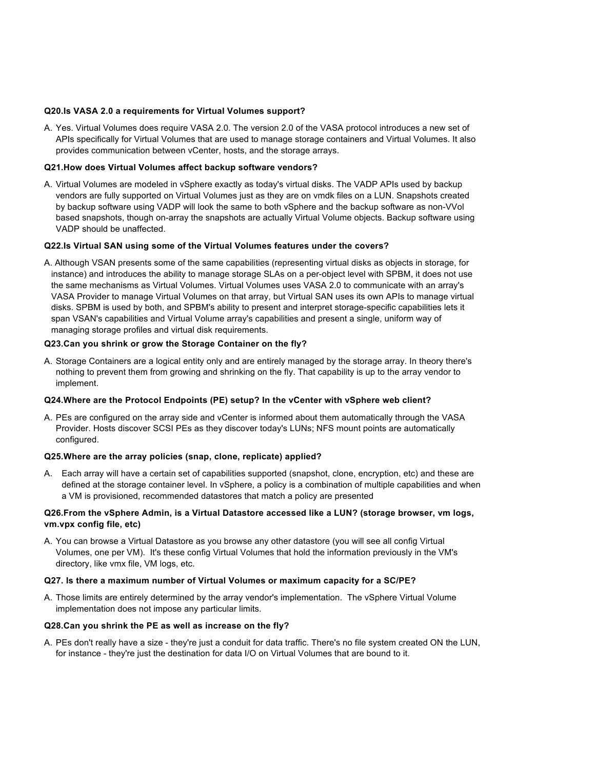#### **Q20.Is VASA 2.0 a requirements for Virtual Volumes support?**

A. Yes. Virtual Volumes does require VASA 2.0. The version 2.0 of the VASA protocol introduces a new set of APIs specifically for Virtual Volumes that are used to manage storage containers and Virtual Volumes. It also provides communication between vCenter, hosts, and the storage arrays.

#### **Q21.How does Virtual Volumes affect backup software vendors?**

A. Virtual Volumes are modeled in vSphere exactly as today's virtual disks. The VADP APIs used by backup vendors are fully supported on Virtual Volumes just as they are on vmdk files on a LUN. Snapshots created by backup software using VADP will look the same to both vSphere and the backup software as non-VVol based snapshots, though on-array the snapshots are actually Virtual Volume objects. Backup software using VADP should be unaffected.

#### **Q22.Is Virtual SAN using some of the Virtual Volumes features under the covers?**

A. Although VSAN presents some of the same capabilities (representing virtual disks as objects in storage, for instance) and introduces the ability to manage storage SLAs on a per-object level with SPBM, it does not use the same mechanisms as Virtual Volumes. Virtual Volumes uses VASA 2.0 to communicate with an array's VASA Provider to manage Virtual Volumes on that array, but Virtual SAN uses its own APIs to manage virtual disks. SPBM is used by both, and SPBM's ability to present and interpret storage-specific capabilities lets it span VSAN's capabilities and Virtual Volume array's capabilities and present a single, uniform way of managing storage profiles and virtual disk requirements.

#### **Q23.Can you shrink or grow the Storage Container on the fly?**

A. Storage Containers are a logical entity only and are entirely managed by the storage array. In theory there's nothing to prevent them from growing and shrinking on the fly. That capability is up to the array vendor to implement.

#### **Q24.Where are the Protocol Endpoints (PE) setup? In the vCenter with vSphere web client?**

A. PEs are configured on the array side and vCenter is informed about them automatically through the VASA Provider. Hosts discover SCSI PEs as they discover today's LUNs; NFS mount points are automatically configured.

#### **Q25.Where are the array policies (snap, clone, replicate) applied?**

A. Each array will have a certain set of capabilities supported (snapshot, clone, encryption, etc) and these are defined at the storage container level. In vSphere, a policy is a combination of multiple capabilities and when a VM is provisioned, recommended datastores that match a policy are presented

#### **Q26.From the vSphere Admin, is a Virtual Datastore accessed like a LUN? (storage browser, vm logs, vm.vpx config file, etc)**

A. You can browse a Virtual Datastore as you browse any other datastore (you will see all config Virtual Volumes, one per VM). It's these config Virtual Volumes that hold the information previously in the VM's directory, like vmx file, VM logs, etc.

#### **Q27. Is there a maximum number of Virtual Volumes or maximum capacity for a SC/PE?**

A. Those limits are entirely determined by the array vendor's implementation. The vSphere Virtual Volume implementation does not impose any particular limits.

#### **Q28.Can you shrink the PE as well as increase on the fly?**

A. PEs don't really have a size - they're just a conduit for data traffic. There's no file system created ON the LUN, for instance - they're just the destination for data I/O on Virtual Volumes that are bound to it.